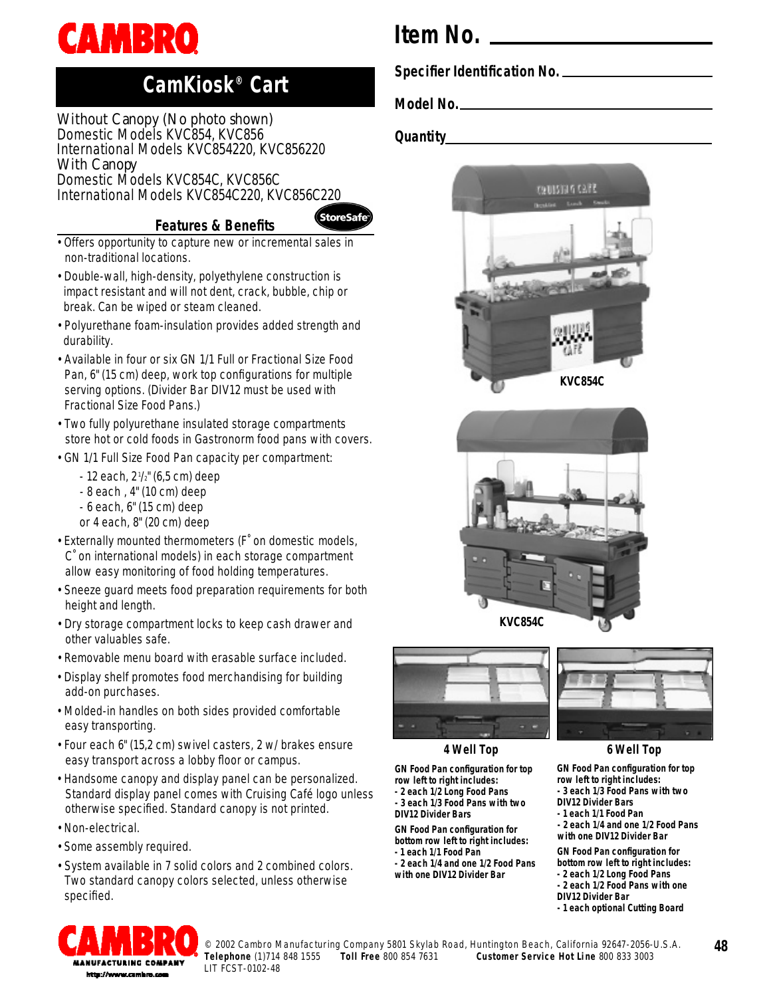# CAMBRO

## **CamKiosk® Cart**

*Without Canopy (No photo shown)* Domestic Models KVC854, KVC856 International Models KVC854220, KVC856220 *With Canopy*

Domestic Models KVC854C, KVC856C International Models KVC854C220, KVC856C220

## **Features & Benefits**

- Offers opportunity to capture new or incremental sales in non-traditional locations.
- Double-wall, high-density, polyethylene construction is impact resistant and will not dent, crack, bubble, chip or break. Can be wiped or steam cleaned.
- Polyurethane foam-insulation provides added strength and durability.
- Available in four or six GN 1/1 Full or Fractional Size Food Pan, 6" (15 cm) deep, work top configurations for multiple serving options. (Divider Bar DIV12 must be used with Fractional Size Food Pans.)
- Two fully polyurethane insulated storage compartments store hot or cold foods in Gastronorm food pans with covers.
- GN 1/1 Full Size Food Pan capacity per compartment:
	- 12 each, 2<sup>1</sup> /2" (6,5 cm) deep
	- 8 each , 4" (10 cm) deep
	- 6 each, 6" (15 cm) deep
	- or 4 each, 8" (20 cm) deep
- Externally mounted thermometers (F˚ on domestic models, C˚ on international models) in each storage compartment allow easy monitoring of food holding temperatures.
- Sneeze guard meets food preparation requirements for both height and length.
- Dry storage compartment locks to keep cash drawer and other valuables safe.
- Removable menu board with erasable surface included.
- Display shelf promotes food merchandising for building add-on purchases.
- Molded-in handles on both sides provided comfortable easy transporting.
- Four each 6" (15,2 cm) swivel casters, 2 w/ brakes ensure easy transport across a lobby floor or campus.
- Handsome canopy and display panel can be personalized. Standard display panel comes with Cruising Café logo unless otherwise specified. Standard canopy is not printed.
- Non-electrical.
- Some assembly required.
- System available in 7 solid colors and 2 combined colors. Two standard canopy colors selected, unless otherwise specified.

## **Item No.**

**Specifier Identification No.**

**Model No.**

## **Quantity**

(StoreSafe





**KVC854C**



**4 Well Top 6 Well Top**

**GN Food Pan configuration for top row left to right includes:**

**- 2 each 1/2 Long Food Pans - 3 each 1/3 Food Pans with two DIV12 Divider Bars** 

**GN Food Pan configuration for bottom row left to right includes: - 1 each 1/1 Food Pan**

- **2 each 1/4 and one 1/2 Food Pans with one DIV12 Divider Bar**
- **2 each 1/2 Long Food Pans**

**DIV12 Divider Bars - 1 each 1/1 Food Pan**

- **2 each 1/2 Food Pans with one DIV12 Divider Bar**
- **1 each optional Cutting Board**

**GN Food Pan configuration for top row left to right includes: - 3 each 1/3 Food Pans with two**

**- 2 each 1/4 and one 1/2 Food Pans with one DIV12 Divider Bar GN Food Pan configuration for bottom row left to right includes:**



© 2002 Cambro Manufacturing Company 5801 Skylab Road, Huntington Beach, California 92647-2056-U.S.A. **T e l e p h o n e** (1)714 848 1555 **Toll Free** 800 854 7631 **Customer Service Hot Line** 800 833 3003 LIT FCST-0102-48